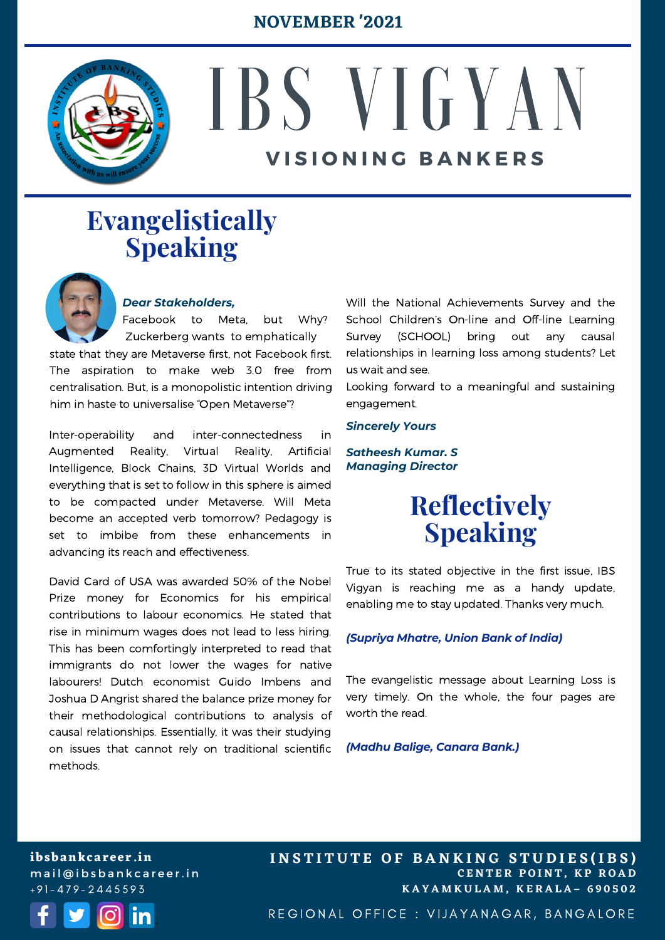#### **NOVEMBER '2021**



# IBS V I G Y A N **V I S I O N I N G B A N K E R S**

## **Evangelistically Speaking**



#### *Dear Stakeholders,*

Facebook to Meta, but Why? Zuckerberg wants to emphatically

state that they are Metaverse first, not Facebook first. The aspiration to make web 3.0 free from centralisation. But, is a monopolistic intention driving him in haste to universalise "Open Metaverse"?

Inter-operability and inter-connectedness in Augmented Reality, Virtual Reality, Artificial Intelligence, Block Chains, 3D Virtual Worlds and everything that is set to follow in this sphere is aimed to be compacted under Metaverse. Will Meta become an accepted verb tomorrow? Pedagogy is set to imbibe from these enhancements in advancing its reach and effectiveness.

David Card of USA was awarded 50% of the Nobel Prize money for Economics for his empirical contributions to labour economics. He stated that rise in minimum wages does not lead to less hiring. This has been comfortingly interpreted to read that immigrants do not lower the wages for native labourers! Dutch economist Guido Imbens and Joshua D Angrist shared the balance prize money for their methodological contributions to analysis of causal relationships. Essentially, it was their studying on issues that cannot rely on traditional scientific methods.

Will the National Achievements Survey and the School Children's On-line and Off-line Learning Survey (SCHOOL) bring out any causal relationships in learning loss among students? Let us wait and see.

Looking forward to a meaningful and sustaining engagement.

#### *Sincerely Yours*

*Satheesh Kumar. S Managing Director*

### **Reflectively Speaking**

True to its stated objective in the first issue, IBS Vigyan is reaching me as a handy update, enabling me to stay updated. Thanks very much.

#### *(Supriya Mhatre, Union Bank of India)*

The evangelistic message about Learning Loss is very timely. On the whole, the four pages are worth the read.

*(Madhu Balige, Canara Bank.)*

**ibsbankcareer.in** m a i l @ i b s b a n k c a r e e r. i n  $+91 - 479 - 2445593$ 



**C E N T E R P O I N T , K P R O A D K A Y A M K U L A M , K E R A L A – 6 9 0 5 0 2 INSTITUTE OF BANKING STUDIES(IBS)** 

REGIONAL OFFICE : VIJAYANAGAR, BANGALORE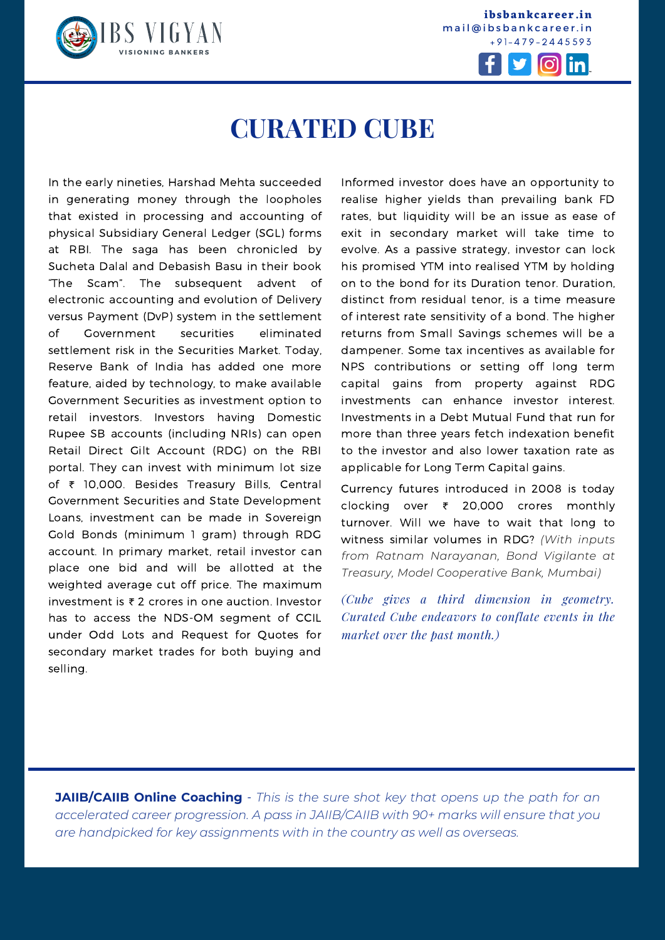

**ibsbankcareer.in** mail@ibsbankcareer.in  $+91 - 479 - 2445593$ 



### **CURATED CUBE**

In the early nineties, Harshad Mehta succeeded in generating money through the loopholes that existed in processing and accounting of physical Subsidiary General Ledger (SGL) forms at RBI. The saga has been chronicled by Sucheta Dalal and Debasish Basu in their book "The Scam". The subsequent advent of electronic accounting and evolution of Delivery versus Payment (DvP) system in the settlement of Government securities eliminated settlement risk in the Securities Market. Today, Reserve Bank of India has added one more feature, aided by technology, to make available Government Securities as investment option to retail investors. Investors having Domestic Rupee SB accounts (including NRIs) can open Retail Direct Gilt Account (RDG) on the RBI portal. They can invest with minimum lot size of ₹ 10,000. Besides Treasury Bills, Central Government Securities and State Development Loans, investment can be made in Sovereign Gold Bonds (minimum 1 gram) through RDG account. In primary market, retail investor can place one bid and will be allotted at the weighted average cut off price. The maximum investment is ₹ 2 crores in one auction. Investor has to access the NDS-OM segment of CCIL under Odd Lots and Request for Quotes for secondary market trades for both buying and selling.

Informed investor does have an opportunity to realise higher yields than prevailing bank FD rates, but liquidity will be an issue as ease of exit in secondary market will take time to evolve. As a passive strategy, investor can lock his promised YTM into realised YTM by holding on to the bond for its Duration tenor. Duration, distinct from residual tenor, is a time measure of interest rate sensitivity of a bond. The higher returns from Small Savings schemes will be a dampener. Some tax incentives as available for NPS contributions or setting off long term capital gains from property against RDG investments can enhance investor interest. Investments in a Debt Mutual Fund that run for more than three years fetch indexation benefit to the investor and also lower taxation rate as applicable for Long Term Capital gains.

Currency futures introduced in 2008 is today clocking over ₹ 20,000 crores monthly turnover. Will we have to wait that long to witness similar volumes in RDG? *(With inputs from Ratnam Narayanan, Bond Vigilante at Treasury, Model Cooperative Bank, Mumbai)*

*(Cube gives a third dimension in geometry. Curated Cube endeavors to conflate events in the market over the past month.)*

**I N S T I T U T E O F B A N K I N G S T U D I E S (I B S )**

**JAIIB/CAIIB Online Coaching** - *This is the sure shot key that opens up the path for an accelerated career progression. A pass in [JAIIB/CAIIB](https://ibsbankcareer.in/course/) with 90+ marks will ensure that you are handpicked for key assignments with in the country as well as overseas.*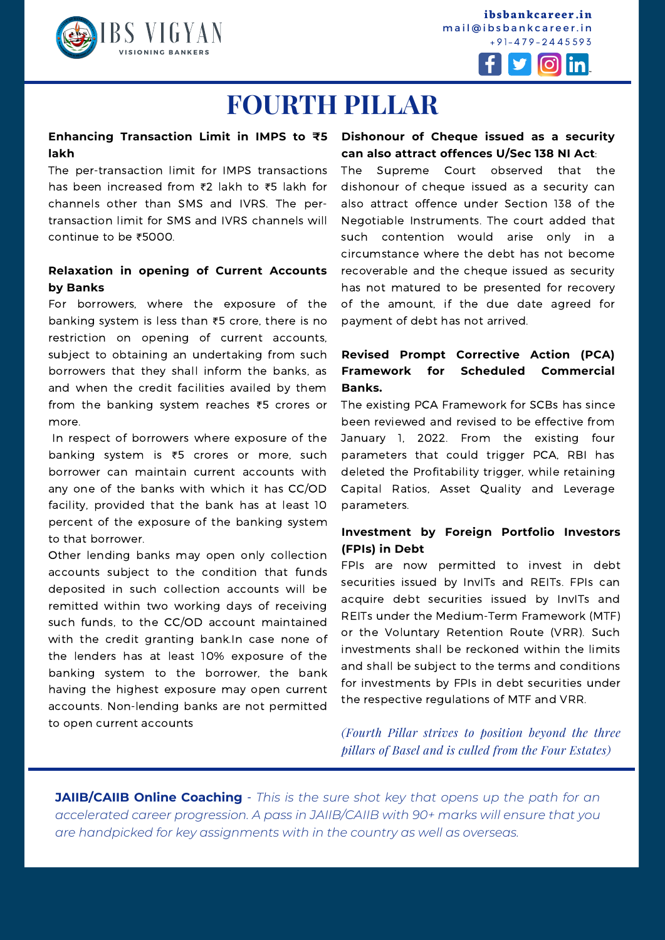

**ibsbankcareer.in** mail@ibsbankcareer.in  $+91 - 479 - 2445593$ 



### **FOURTH PILLAR**

#### **Dishonour of Cheque issued as a security Enhancing Transaction Limit in IMPS to ₹5 lakh**

The per-transaction limit for IMPS transactions has been increased from ₹2 lakh to ₹5 lakh for channels other than SMS and IVRS. The pertransaction limit for SMS and IVRS channels will continue to be ₹5000.

#### **Relaxation in opening of Current Accounts by Banks**

For borrowers, where the exposure of the banking system is less than ₹5 crore, there is no restriction on opening of current accounts, subject to obtaining an undertaking from such borrowers that they shall inform the banks, as and when the credit facilities availed by them from the banking system reaches ₹5 crores or more.

In respect of borrowers where exposure of the banking system is ₹5 crores or more, such borrower can maintain current accounts with any one of the banks with which it has CC/OD facility, provided that the bank has at least 10 percent of the exposure of the banking system to that borrower.

Other lending banks may open only collection accounts subject to the condition that funds deposited in such collection accounts will be remitted within two working days of receiving such funds, to the CC/OD account maintained with the credit granting bank.In case none of the lenders has at least 10% exposure of the banking system to the borrower, the bank having the highest exposure may open current accounts. Non-lending banks are not permitted to open current accounts

### **can also attract offences U/Sec 138 NI Act**:

The Supreme Court observed that the dishonour of cheque issued as a security can also attract offence under Section 138 of the Negotiable Instruments. The court added that such contention would arise only in circumstance where the debt has not become recoverable and the cheque issued as security has not matured to be presented for recovery of the amount, if the due date agreed for payment of debt has not arrived.

#### **Revised Prompt Corrective Action (PCA) Framework for Scheduled Commercial Banks.**

The existing PCA Framework for SCBs has since been reviewed and revised to be effective from January 1, 2022. From the existing four parameters that could trigger PCA, RBI has deleted the Profitability trigger, while retaining Capital Ratios, Asset Quality and Leverage parameters.

#### **Investment by Foreign Portfolio Investors (FPIs) in Debt**

FPIs are now permitted to invest in debt securities issued by InvITs and REITs. FPIs can acquire debt securities issued by InvITs and REITs under the Medium-Term Framework (MTF) or the Voluntary Retention Route (VRR). Such investments shall be reckoned within the limits and shall be subject to the terms and conditions for investments by FPIs in debt securities under the respective regulations of MTF and VRR.

*(Fourth Pillar strives to position beyond the three pillars of Basel and is culled from the Four Estates)*

**I N S T I T U T E O F B A N K I N G S T U D I E S (I B S )**

**JAIIB/CAIIB Online Coaching** - *This is the sure shot key that opens up the path for an accelerated career progression. A pass in [JAIIB/CAIIB](https://ibsbankcareer.in/course/) with 90+ marks will ensure that you are handpicked for key assignments with in the country as well as overseas.*